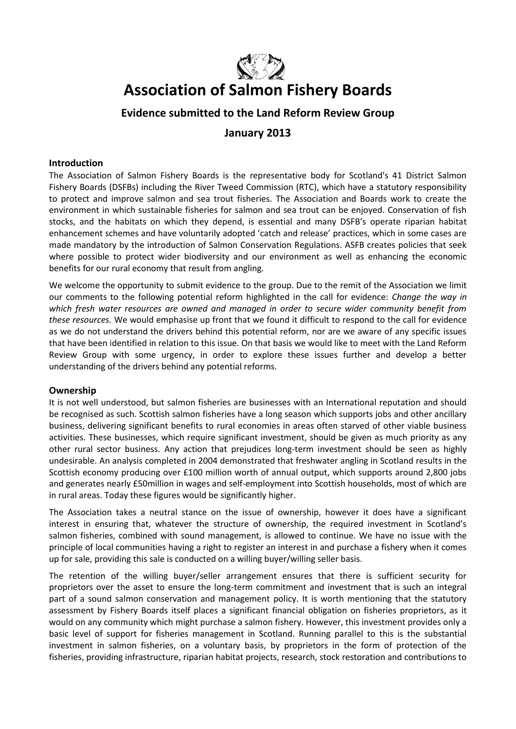

# **Association of Salmon Fishery Boards**

# **Evidence submitted to the Land Reform Review Group**

# **January 2013**

### **Introduction**

The Association of Salmon Fishery Boards is the representative body for Scotland's 41 District Salmon Fishery Boards (DSFBs) including the River Tweed Commission (RTC), which have a statutory responsibility to protect and improve salmon and sea trout fisheries. The Association and Boards work to create the environment in which sustainable fisheries for salmon and sea trout can be enjoyed. Conservation of fish stocks, and the habitats on which they depend, is essential and many DSFB's operate riparian habitat enhancement schemes and have voluntarily adopted 'catch and release' practices, which in some cases are made mandatory by the introduction of Salmon Conservation Regulations. ASFB creates policies that seek where possible to protect wider biodiversity and our environment as well as enhancing the economic benefits for our rural economy that result from angling.

We welcome the opportunity to submit evidence to the group. Due to the remit of the Association we limit our comments to the following potential reform highlighted in the call for evidence: *Change the way in which fresh water resources are owned and managed in order to secure wider community benefit from these resources.* We would emphasise up front that we found it difficult to respond to the call for evidence as we do not understand the drivers behind this potential reform, nor are we aware of any specific issues that have been identified in relation to this issue. On that basis we would like to meet with the Land Reform Review Group with some urgency, in order to explore these issues further and develop a better understanding of the drivers behind any potential reforms.

#### **Ownership**

It is not well understood, but salmon fisheries are businesses with an International reputation and should be recognised as such. Scottish salmon fisheries have a long season which supports jobs and other ancillary business, delivering significant benefits to rural economies in areas often starved of other viable business activities. These businesses, which require significant investment, should be given as much priority as any other rural sector business. Any action that prejudices long-term investment should be seen as highly undesirable. An analysis completed in 2004 demonstrated that freshwater angling in Scotland results in the Scottish economy producing over £100 million worth of annual output, which supports around 2,800 jobs and generates nearly £50million in wages and self-employment into Scottish households, most of which are in rural areas. Today these figures would be significantly higher.

The Association takes a neutral stance on the issue of ownership, however it does have a significant interest in ensuring that, whatever the structure of ownership, the required investment in Scotland's salmon fisheries, combined with sound management, is allowed to continue. We have no issue with the principle of local communities having a right to register an interest in and purchase a fishery when it comes up for sale, providing this sale is conducted on a willing buyer/willing seller basis.

The retention of the willing buyer/seller arrangement ensures that there is sufficient security for proprietors over the asset to ensure the long-term commitment and investment that is such an integral part of a sound salmon conservation and management policy. It is worth mentioning that the statutory assessment by Fishery Boards itself places a significant financial obligation on fisheries proprietors, as it would on any community which might purchase a salmon fishery. However, this investment provides only a basic level of support for fisheries management in Scotland. Running parallel to this is the substantial investment in salmon fisheries, on a voluntary basis, by proprietors in the form of protection of the fisheries, providing infrastructure, riparian habitat projects, research, stock restoration and contributions to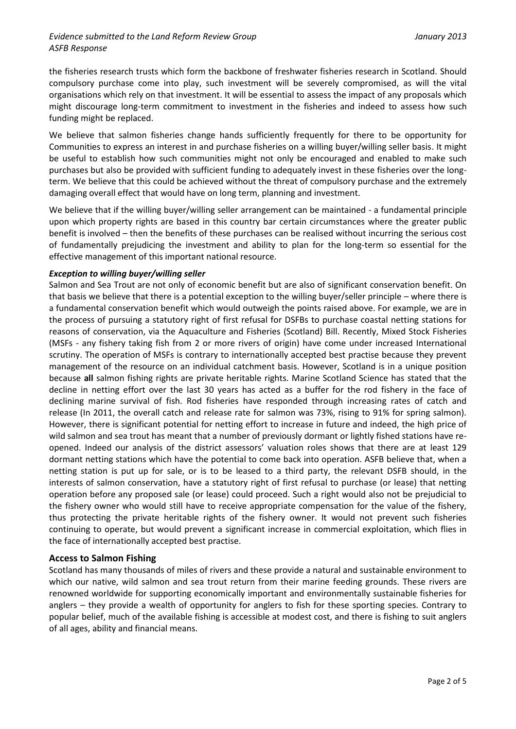#### *Evidence submitted to the Land Reform Review Group January 2013 ASFB Response*

the fisheries research trusts which form the backbone of freshwater fisheries research in Scotland. Should compulsory purchase come into play, such investment will be severely compromised, as will the vital organisations which rely on that investment. It will be essential to assess the impact of any proposals which might discourage long-term commitment to investment in the fisheries and indeed to assess how such funding might be replaced.

We believe that salmon fisheries change hands sufficiently frequently for there to be opportunity for Communities to express an interest in and purchase fisheries on a willing buyer/willing seller basis. It might be useful to establish how such communities might not only be encouraged and enabled to make such purchases but also be provided with sufficient funding to adequately invest in these fisheries over the longterm. We believe that this could be achieved without the threat of compulsory purchase and the extremely damaging overall effect that would have on long term, planning and investment.

We believe that if the willing buyer/willing seller arrangement can be maintained - a fundamental principle upon which property rights are based in this country bar certain circumstances where the greater public benefit is involved – then the benefits of these purchases can be realised without incurring the serious cost of fundamentally prejudicing the investment and ability to plan for the long-term so essential for the effective management of this important national resource.

#### *Exception to willing buyer/willing seller*

Salmon and Sea Trout are not only of economic benefit but are also of significant conservation benefit. On that basis we believe that there is a potential exception to the willing buyer/seller principle – where there is a fundamental conservation benefit which would outweigh the points raised above. For example, we are in the process of pursuing a statutory right of first refusal for DSFBs to purchase coastal netting stations for reasons of conservation, via the Aquaculture and Fisheries (Scotland) Bill. Recently, Mixed Stock Fisheries (MSFs - any fishery taking fish from 2 or more rivers of origin) have come under increased International scrutiny. The operation of MSFs is contrary to internationally accepted best practise because they prevent management of the resource on an individual catchment basis. However, Scotland is in a unique position because **all** salmon fishing rights are private heritable rights. Marine Scotland Science has stated that the decline in netting effort over the last 30 years has acted as a buffer for the rod fishery in the face of declining marine survival of fish. Rod fisheries have responded through increasing rates of catch and release (In 2011, the overall catch and release rate for salmon was 73%, rising to 91% for spring salmon). However, there is significant potential for netting effort to increase in future and indeed, the high price of wild salmon and sea trout has meant that a number of previously dormant or lightly fished stations have reopened. Indeed our analysis of the district assessors' valuation roles shows that there are at least 129 dormant netting stations which have the potential to come back into operation. ASFB believe that, when a netting station is put up for sale, or is to be leased to a third party, the relevant DSFB should, in the interests of salmon conservation, have a statutory right of first refusal to purchase (or lease) that netting operation before any proposed sale (or lease) could proceed. Such a right would also not be prejudicial to the fishery owner who would still have to receive appropriate compensation for the value of the fishery, thus protecting the private heritable rights of the fishery owner. It would not prevent such fisheries continuing to operate, but would prevent a significant increase in commercial exploitation, which flies in the face of internationally accepted best practise.

#### **Access to Salmon Fishing**

Scotland has many thousands of miles of rivers and these provide a natural and sustainable environment to which our native, wild salmon and sea trout return from their marine feeding grounds. These rivers are renowned worldwide for supporting economically important and environmentally sustainable fisheries for anglers – they provide a wealth of opportunity for anglers to fish for these sporting species. Contrary to popular belief, much of the available fishing is accessible at modest cost, and there is fishing to suit anglers of all ages, ability and financial means.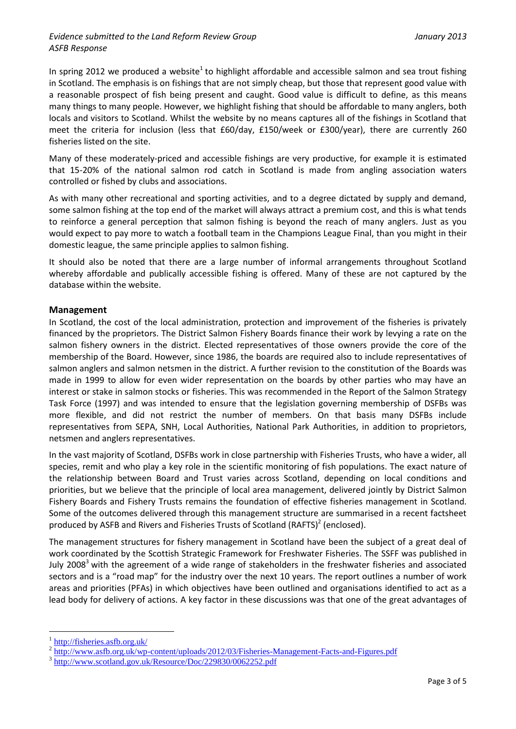# *Evidence submitted to the Land Reform Review Group January 2013 ASFB Response*

In spring 2012 we produced a website<sup>1</sup> to highlight affordable and accessible salmon and sea trout fishing in Scotland. The emphasis is on fishings that are not simply cheap, but those that represent good value with a reasonable prospect of fish being present and caught. Good value is difficult to define, as this means many things to many people. However, we highlight fishing that should be affordable to many anglers, both locals and visitors to Scotland. Whilst the website by no means captures all of the fishings in Scotland that meet the criteria for inclusion (less that £60/day, £150/week or £300/year), there are currently 260 fisheries listed on the site.

Many of these moderately-priced and accessible fishings are very productive, for example it is estimated that 15-20% of the national salmon rod catch in Scotland is made from angling association waters controlled or fished by clubs and associations.

As with many other recreational and sporting activities, and to a degree dictated by supply and demand, some salmon fishing at the top end of the market will always attract a premium cost, and this is what tends to reinforce a general perception that salmon fishing is beyond the reach of many anglers. Just as you would expect to pay more to watch a football team in the Champions League Final, than you might in their domestic league, the same principle applies to salmon fishing.

It should also be noted that there are a large number of informal arrangements throughout Scotland whereby affordable and publically accessible fishing is offered. Many of these are not captured by the database within the website.

# **Management**

In Scotland, the cost of the local administration, protection and improvement of the fisheries is privately financed by the proprietors. The District Salmon Fishery Boards finance their work by levying a rate on the salmon fishery owners in the district. Elected representatives of those owners provide the core of the membership of the Board. However, since 1986, the boards are required also to include representatives of salmon anglers and salmon netsmen in the district. A further revision to the constitution of the Boards was made in 1999 to allow for even wider representation on the boards by other parties who may have an interest or stake in salmon stocks or fisheries. This was recommended in the Report of the Salmon Strategy Task Force (1997) and was intended to ensure that the legislation governing membership of DSFBs was more flexible, and did not restrict the number of members. On that basis many DSFBs include representatives from SEPA, SNH, Local Authorities, National Park Authorities, in addition to proprietors, netsmen and anglers representatives.

In the vast majority of Scotland, DSFBs work in close partnership with Fisheries Trusts, who have a wider, all species, remit and who play a key role in the scientific monitoring of fish populations. The exact nature of the relationship between Board and Trust varies across Scotland, depending on local conditions and priorities, but we believe that the principle of local area management, delivered jointly by District Salmon Fishery Boards and Fishery Trusts remains the foundation of effective fisheries management in Scotland. Some of the outcomes delivered through this management structure are summarised in a recent factsheet produced by ASFB and Rivers and Fisheries Trusts of Scotland (RAFTS)<sup>2</sup> (enclosed).

The management structures for fishery management in Scotland have been the subject of a great deal of work coordinated by the Scottish Strategic Framework for Freshwater Fisheries. The SSFF was published in July 2008<sup>3</sup> with the agreement of a wide range of stakeholders in the freshwater fisheries and associated sectors and is a "road map" for the industry over the next 10 years. The report outlines a number of work areas and priorities (PFAs) in which objectives have been outlined and organisations identified to act as a lead body for delivery of actions. A key factor in these discussions was that one of the great advantages of

<u>.</u>

<sup>1</sup> <http://fisheries.asfb.org.uk/>

 $\frac{2 \text{ http://www.asfb.org.uk/wp-content/uploads/2012/03/Fisheries-Management-Facts-and-Figures.pdf}}{3 \text{ http://www.asfb.org.uk/wp-content/uploads/2012/03/Fisheries-Management-Facts-and-Figures.pdf}}$  $\frac{2 \text{ http://www.asfb.org.uk/wp-content/uploads/2012/03/Fisheries-Management-Facts-and-Figures.pdf}}{3 \text{ http://www.asfb.org.uk/wp-content/uploads/2012/03/Fisheries-Management-Facts-and-Figures.pdf}}$  $\frac{2 \text{ http://www.asfb.org.uk/wp-content/uploads/2012/03/Fisheries-Management-Facts-and-Figures.pdf}}{3 \text{ http://www.asfb.org.uk/wp-content/uploads/2012/03/Fisheries-Management-Facts-and-Figures.pdf}}$ 

<http://www.scotland.gov.uk/Resource/Doc/229830/0062252.pdf>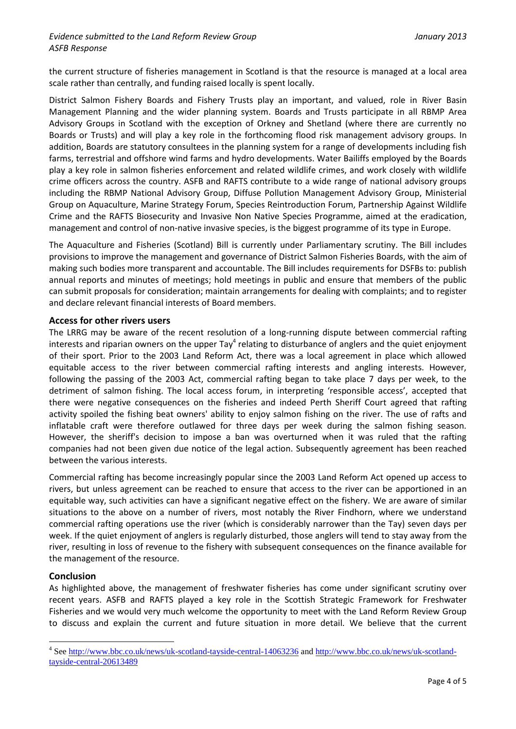the current structure of fisheries management in Scotland is that the resource is managed at a local area scale rather than centrally, and funding raised locally is spent locally.

District Salmon Fishery Boards and Fishery Trusts play an important, and valued, role in River Basin Management Planning and the wider planning system. Boards and Trusts participate in all RBMP Area Advisory Groups in Scotland with the exception of Orkney and Shetland (where there are currently no Boards or Trusts) and will play a key role in the forthcoming flood risk management advisory groups. In addition, Boards are statutory consultees in the planning system for a range of developments including fish farms, terrestrial and offshore wind farms and hydro developments. Water Bailiffs employed by the Boards play a key role in salmon fisheries enforcement and related wildlife crimes, and work closely with wildlife crime officers across the country. ASFB and RAFTS contribute to a wide range of national advisory groups including the RBMP National Advisory Group, Diffuse Pollution Management Advisory Group, Ministerial Group on Aquaculture, Marine Strategy Forum, Species Reintroduction Forum, Partnership Against Wildlife Crime and the RAFTS Biosecurity and Invasive Non Native Species Programme, aimed at the eradication, management and control of non-native invasive species, is the biggest programme of its type in Europe.

The Aquaculture and Fisheries (Scotland) Bill is currently under Parliamentary scrutiny. The Bill includes provisions to improve the management and governance of District Salmon Fisheries Boards, with the aim of making such bodies more transparent and accountable. The Bill includes requirements for DSFBs to: publish annual reports and minutes of meetings; hold meetings in public and ensure that members of the public can submit proposals for consideration; maintain arrangements for dealing with complaints; and to register and declare relevant financial interests of Board members.

#### **Access for other rivers users**

The LRRG may be aware of the recent resolution of a long-running dispute between commercial rafting interests and riparian owners on the upper Tay<sup>4</sup> relating to disturbance of anglers and the quiet enjoyment of their sport. Prior to the 2003 Land Reform Act, there was a local agreement in place which allowed equitable access to the river between commercial rafting interests and angling interests. However, following the passing of the 2003 Act, commercial rafting began to take place 7 days per week, to the detriment of salmon fishing. The local access forum, in interpreting 'responsible access', accepted that there were negative consequences on the fisheries and indeed Perth Sheriff Court agreed that rafting activity spoiled the fishing beat owners' ability to enjoy salmon fishing on the river. The use of rafts and inflatable craft were therefore outlawed for three days per week during the salmon fishing season. However, the sheriff's decision to impose a ban was overturned when it was ruled that the rafting companies had not been given due notice of the legal action. Subsequently agreement has been reached between the various interests.

Commercial rafting has become increasingly popular since the 2003 Land Reform Act opened up access to rivers, but unless agreement can be reached to ensure that access to the river can be apportioned in an equitable way, such activities can have a significant negative effect on the fishery. We are aware of similar situations to the above on a number of rivers, most notably the River Findhorn, where we understand commercial rafting operations use the river (which is considerably narrower than the Tay) seven days per week. If the quiet enjoyment of anglers is regularly disturbed, those anglers will tend to stay away from the river, resulting in loss of revenue to the fishery with subsequent consequences on the finance available for the management of the resource.

# **Conclusion**

1

As highlighted above, the management of freshwater fisheries has come under significant scrutiny over recent years. ASFB and RAFTS played a key role in the Scottish Strategic Framework for Freshwater Fisheries and we would very much welcome the opportunity to meet with the Land Reform Review Group to discuss and explain the current and future situation in more detail. We believe that the current

<sup>&</sup>lt;sup>4</sup> See<http://www.bbc.co.uk/news/uk-scotland-tayside-central-14063236> and [http://www.bbc.co.uk/news/uk-scotland](http://www.bbc.co.uk/news/uk-scotland-tayside-central-20613489)[tayside-central-20613489](http://www.bbc.co.uk/news/uk-scotland-tayside-central-20613489)